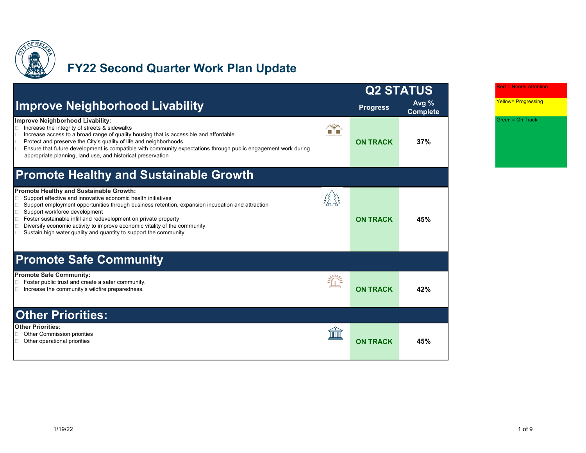

# **FY22 Second Quarter Work Plan Update**

|                                                                                                                                                                                                                                                                                                                                                                                                                                                                                                                 | <b>Q2 STATUS</b> |                            |
|-----------------------------------------------------------------------------------------------------------------------------------------------------------------------------------------------------------------------------------------------------------------------------------------------------------------------------------------------------------------------------------------------------------------------------------------------------------------------------------------------------------------|------------------|----------------------------|
| <b>Improve Neighborhood Livability</b>                                                                                                                                                                                                                                                                                                                                                                                                                                                                          | <b>Progress</b>  | Avg $%$<br><b>Complete</b> |
| Improve Neighborhood Livability:<br>Increase the integrity of streets & sidewalks<br>Increase access to a broad range of quality housing that is accessible and affordable<br>Protect and preserve the City's quality of life and neighborhoods<br>Ensure that future development is compatible with community expectations through public engagement work during<br>$\Box$<br>appropriate planning, land use, and historical preservation                                                                      | <b>ON TRACK</b>  | 37%                        |
| <b>Promote Healthy and Sustainable Growth</b>                                                                                                                                                                                                                                                                                                                                                                                                                                                                   |                  |                            |
| <b>Promote Healthy and Sustainable Growth:</b><br>Support effective and innovative economic health initiatives<br>Support employment opportunities through business retention, expansion incubation and attraction<br>$\Box$<br>Support workforce development<br>$\Box$<br>$\Box$<br>Foster sustainable infill and redevelopment on private property<br>Diversify economic activity to improve economic vitality of the community<br>$\Box$<br>Sustain high water quality and quantity to support the community | <b>ON TRACK</b>  | 45%                        |
| <b>Promote Safe Community</b>                                                                                                                                                                                                                                                                                                                                                                                                                                                                                   |                  |                            |
| <b>Promote Safe Community:</b><br>Foster public trust and create a safer community.<br>Increase the community's wildfire preparedness.                                                                                                                                                                                                                                                                                                                                                                          | <b>ON TRACK</b>  | 42%                        |
| <b>Other Priorities:</b>                                                                                                                                                                                                                                                                                                                                                                                                                                                                                        |                  |                            |
| <b>Other Priorities:</b><br>Other Commission priorities<br>Other operational priorities                                                                                                                                                                                                                                                                                                                                                                                                                         | <b>ON TRACK</b>  | 45%                        |

Red = Needs Attention

Yellow= Progressing

Green = On Track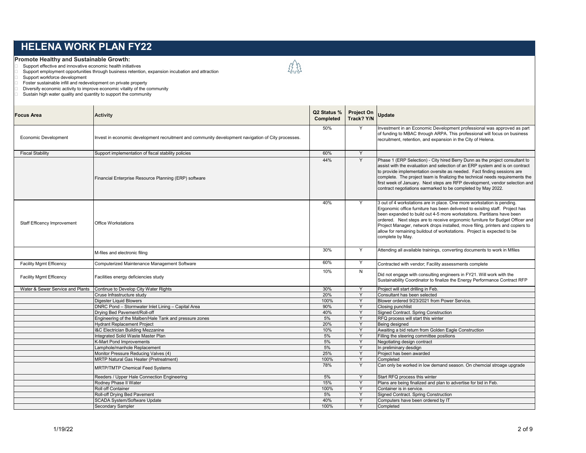#### **Promote Healthy and Sustainable Growth:**

Support effective and innovative economic health initiatives

 $\Box$  Support employment opportunities through business retention, expansion incubation and attraction  $\Box$  Support workforce development

Support workforce development

Foster sustainable infill and redevelopment on private property Diversify economic activity to improve economic vitality of the community

□ Sustain high water quality and quantity to support the community

| <b>Focus Area</b>                  | <b>Activity</b>                                                                                    | Q2 Status %<br>Completed | <b>Project On</b><br>Track? Y/N | Update                                                                                                                                                                                                                                                                                                                                                                                                                                                                                             |
|------------------------------------|----------------------------------------------------------------------------------------------------|--------------------------|---------------------------------|----------------------------------------------------------------------------------------------------------------------------------------------------------------------------------------------------------------------------------------------------------------------------------------------------------------------------------------------------------------------------------------------------------------------------------------------------------------------------------------------------|
| <b>Economic Development</b>        | Invest in economic development recruitment and community development navigation of City processes. | 50%                      | Y                               | Investment in an Economic Development professional was approved as part<br>of funding to MBAC through ARPA. This professional will focus on business<br>recruitment, retention, and expansion in the City of Helena.                                                                                                                                                                                                                                                                               |
| <b>Fiscal Stability</b>            | Support implementation of fiscal stability policies                                                | 60%                      | Y                               |                                                                                                                                                                                                                                                                                                                                                                                                                                                                                                    |
|                                    | Financial Enterprise Resource Planning (ERP) software                                              | 44%                      | Y                               | Phase 1 (ERP Selection) - City hired Berry Dunn as the project consultant to<br>assist with the evaluation and selection of an ERP system and is on contract<br>to provide implementation oversite as needed. Fact finding sessions are<br>complete. The project team is finalizing the technical needs requirements the<br>first week of January. Next steps are RFP development, vendor selection and<br>contract negotiations earmarked to be completed by May 2022.                            |
| <b>Staff Efficency Improvement</b> | <b>Office Workstations</b>                                                                         | 40%                      | Y                               | 3 out of 4 workstations are in place. One more workstation is pending.<br>Ergonomic office furniture has been delivered to exisitng staff. Project has<br>been expanded to build out 4-5 more workstations. Partitians have been<br>ordered. Next steps are to receive ergonomic furniture for Budget Officer and<br>Project Manager, network drops installed, move filing, printers and copiers to<br>allow for remaining buildout of workstations. Project is expected to be<br>complete by May. |
|                                    | M-files and electronic filing                                                                      | 30%                      | Y                               | Attending all available trainings, converting documents to work in Mfiles                                                                                                                                                                                                                                                                                                                                                                                                                          |
| <b>Facility Mgmt Efficency</b>     | Computerized Maintenance Management Software                                                       | 60%                      | Y                               | Contracted with vendor; Facility assessments complete                                                                                                                                                                                                                                                                                                                                                                                                                                              |
| <b>Facility Mgmt Efficency</b>     | Facilities energy deficiencies study                                                               | 10%                      | N                               | Did not engage with consulting engineers in FY21. Will work with the<br>Sustainability Coordinator to finalize the Energy Performance Contract RFP                                                                                                                                                                                                                                                                                                                                                 |
| Water & Sewer Service and Plants   | Continue to Develop City Water Rights                                                              | 30%                      | Y                               | Proiect will start drilling in Feb.                                                                                                                                                                                                                                                                                                                                                                                                                                                                |
|                                    | Cruse Infrastructure study                                                                         | 20%                      | Y                               | Consultant has been selected                                                                                                                                                                                                                                                                                                                                                                                                                                                                       |
|                                    | <b>Digester Liquid Blowers</b>                                                                     | 100%                     | Y                               | Blower ordered 9/23/2021 from Power Service.                                                                                                                                                                                                                                                                                                                                                                                                                                                       |
|                                    | DNRC Pond - Stormwater Inlet Lining - Capital Area                                                 | 90%                      | Y                               | Closing punchlist                                                                                                                                                                                                                                                                                                                                                                                                                                                                                  |
|                                    | Drying Bed Pavement/Roll-off                                                                       | 40%                      | Y                               | Signed Contract. Spring Construction                                                                                                                                                                                                                                                                                                                                                                                                                                                               |
|                                    | Engineering of the Malben/Hale Tank and pressure zones                                             | 5%                       | Y                               | RFQ process will start this winter                                                                                                                                                                                                                                                                                                                                                                                                                                                                 |
|                                    | <b>Hydrant Replacement Project</b>                                                                 | 20%                      | Y                               | Being designed                                                                                                                                                                                                                                                                                                                                                                                                                                                                                     |
|                                    | I&C Electrician Building Mezzanine                                                                 | 10%                      | Y                               | Awaiting a bid return from Golden Eagle Construction                                                                                                                                                                                                                                                                                                                                                                                                                                               |
|                                    | Integrated Solid Waste Master Plan                                                                 | 5%                       | Y                               | Filling the steering committee positions                                                                                                                                                                                                                                                                                                                                                                                                                                                           |
|                                    | <b>K-Mart Pond Improvements</b>                                                                    | 5%                       | Y                               | Negotiating design contract                                                                                                                                                                                                                                                                                                                                                                                                                                                                        |
|                                    | Lamphole/manhole Replacement                                                                       | 5%                       | Y                               | In preliminary desdign                                                                                                                                                                                                                                                                                                                                                                                                                                                                             |
|                                    | Monitor Pressure Reducing Valves (4)                                                               | 25%                      | Y                               | Project has been awarded                                                                                                                                                                                                                                                                                                                                                                                                                                                                           |
|                                    | <b>MRTP Natural Gas Heater (Pretreatment)</b>                                                      | 100%                     | Y                               | Completed                                                                                                                                                                                                                                                                                                                                                                                                                                                                                          |
|                                    | <b>MRTP/TMTP Chemical Feed Systems</b>                                                             | 78%                      | Y                               | Can only be worked in low demand season. On chemcial stroage upgrade                                                                                                                                                                                                                                                                                                                                                                                                                               |
|                                    | Reeders / Upper Hale Connection Engineering                                                        | 5%                       | Y                               | Start RFQ process this winter                                                                                                                                                                                                                                                                                                                                                                                                                                                                      |
|                                    | Rodney Phase II Water                                                                              | 15%                      | Y                               | Plans are being finalized and plan to advertise for bid in Feb.                                                                                                                                                                                                                                                                                                                                                                                                                                    |
|                                    | Roll off Container                                                                                 | 100%                     | Y                               | Container is in service.                                                                                                                                                                                                                                                                                                                                                                                                                                                                           |
|                                    | Roll-off Drying Bed Pavement                                                                       | 5%                       | Y                               | Signed Contract. Spring Construction                                                                                                                                                                                                                                                                                                                                                                                                                                                               |
|                                    | SCADA System/Software Update                                                                       | 40%                      | Y                               | Computers have been ordered by IT                                                                                                                                                                                                                                                                                                                                                                                                                                                                  |
|                                    | Secondary Sampler                                                                                  | 100%                     | Y                               | Completed                                                                                                                                                                                                                                                                                                                                                                                                                                                                                          |

经总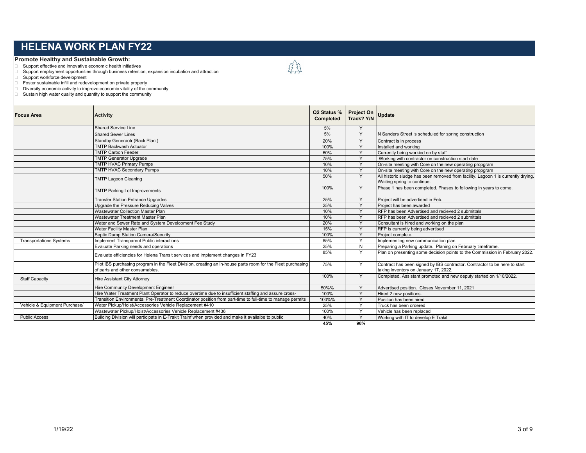#### **Promote Healthy and Sustainable Growth:**

Support effective and innovative economic health initiatives

 $\Box$  Support employment opportunities through business retention, expansion incubation and attraction  $\Box$  Support workforce development

Support workforce development

Foster sustainable infill and redevelopment on private property Diversify economic activity to improve economic vitality of the community

□ Sustain high water quality and quantity to support the community

| <b>Focus Area</b>              | <b>Activity</b>                                                                                                                                 | Q2 Status %<br>Completed | <b>Project On</b><br>Track? Y/N | <b>Update</b>                                                                                                       |
|--------------------------------|-------------------------------------------------------------------------------------------------------------------------------------------------|--------------------------|---------------------------------|---------------------------------------------------------------------------------------------------------------------|
|                                | <b>Shared Service Line</b>                                                                                                                      | 5%                       | $\checkmark$                    |                                                                                                                     |
|                                | <b>Shared Sewer Lines</b>                                                                                                                       | 5%                       | Y                               | N Sanders Street is scheduled for spring construction                                                               |
|                                | Standby Generaotr (Back Plant)                                                                                                                  | 20%                      | $\checkmark$                    | Contract is in process                                                                                              |
|                                | <b>TMTP Backwash Actuator</b>                                                                                                                   | 100%                     | $\vee$                          | Installed and working                                                                                               |
|                                | <b>TMTP Carbon Feeder</b>                                                                                                                       | 60%                      | Y                               | Currently being workied on by staff                                                                                 |
|                                | <b>TMTP</b> Generator Upgrade                                                                                                                   | 75%                      | $\vee$                          | Working with contractor on construction start date                                                                  |
|                                | <b>TMTP HVAC Primary Pumps</b>                                                                                                                  | 10%                      | v                               | On-site meeting with Core on the new operating propgram                                                             |
|                                | <b>TMTP HVAC Secondary Pumps</b>                                                                                                                | 10%                      | $\vee$                          | On-site meeting with Core on the new operating propgram                                                             |
|                                | <b>TMTP Lagoon Cleaning</b>                                                                                                                     | 50%                      | Y                               | All historic sludge has been removed from facility. Lagoon 1 is currently drying.<br>Waiting spring to continue.    |
|                                | <b>TMTP Parking Lot Improvements</b>                                                                                                            | 100%                     | Y                               | Phase 1 has been completed. Phases to following in years to come.                                                   |
|                                | <b>Transfer Station Entrance Upgrades</b>                                                                                                       | 25%                      | Y                               | Project will be advertised in Feb.                                                                                  |
|                                | Upgrade the Pressure Reducing Valves                                                                                                            | 25%                      | $\overline{\mathsf{v}}$         | Project has been awarded                                                                                            |
|                                | <b>Wastewater Collection Master Plan</b>                                                                                                        | 10%                      | $\vee$                          | RFP has been Advertised and recieved 2 submittals                                                                   |
|                                | Wastewater Treatment Master Plan                                                                                                                | 10%                      | $\vee$                          | RFP has been Advertised and recieved 2 submittals                                                                   |
|                                | Water and Sewer Rate and System Development Fee Study                                                                                           | 20%                      | $\vee$                          | Consultant is hired and working on the plan                                                                         |
|                                | Water Facility Master Plan                                                                                                                      | 15%                      |                                 | RFP is currently being advertised                                                                                   |
|                                | Septic Dump Station Camera/Security                                                                                                             | 100%                     |                                 | Proiect complete.                                                                                                   |
| <b>Transportations Systems</b> | Implement Transparent Public interactions                                                                                                       | 85%                      |                                 | Implementing new communication plan.                                                                                |
|                                | Evaluate Parking needs and operations                                                                                                           | 25%                      | N                               | Preparing a Parking update. Planing on February timeframe.                                                          |
|                                | Evaluate efficiencies for Helena Transit services and implement changes in FY23                                                                 | 85%                      | Y                               | Plan on presenting some decision points to the Commission in February 2022.                                         |
|                                | Pilot IBS purchasing program in the Fleet Division, creating an in-house parts room for the Fleet purchasing<br>of parts and other consumables. | 75%                      | Y                               | Contract has been signed by IBS contractor. Contractor to be here to start<br>taking inventory on January 17, 2022. |
| <b>Staff Capacity</b>          | Hire Assistant City Attorney                                                                                                                    | 100%                     | Y                               | Completed. Assistant promoted and new deputy started on 1/10/2022.                                                  |
|                                | <b>Hire Community Development Engineer</b>                                                                                                      | 50%%                     | Y                               | Advertised position. Closes November 11, 2021                                                                       |
|                                | Hire Water Treatment Plant Operator to reduce overtime due to insufficient staffing and assure cross-                                           | 100%                     | Y                               | Hired 2 new positions.                                                                                              |
|                                | Transition Environmental Pre-Treatment Coordinator position from part-time to full-time to manage permits                                       | 100%%                    | $\checkmark$                    | Position has been hired                                                                                             |
| Vehicle & Equipment Purchase/  | Water Pickup/Hoist/Accessories Vehicle Replacement #410                                                                                         | 25%                      |                                 | Truck has been ordered                                                                                              |
|                                | Wastewater Pickup/Hoist/Accessories Vehicle Replacement #436                                                                                    | 100%                     | $\checkmark$                    | Vehicle has been replaced                                                                                           |
| <b>Public Access</b>           | Building Division will participate in E-Trakit Trainf when provided and make it availalbe to public                                             | 40%                      | $\vee$                          | Working with IT to develop E Trakit                                                                                 |

经数

**45% 96%**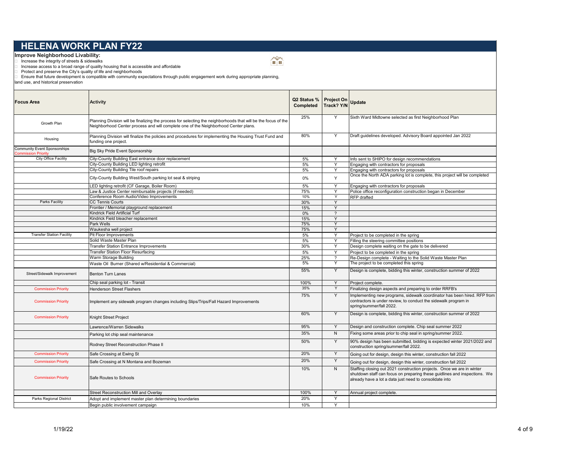**Improve Neighborhood Livability:**<br>□ Increase the integrity of streets & sidewalks

□ Increase access to a broad range of quality housing that is accessible and affordable<br>□ Protect and preserve the City's quality of life and neighborhoods<br>□ Ensure that future development is compatible with community exp

land use, and historical preservation

| <b>Focus Area</b>                                                 | <b>Activity</b>                                                                                                                                                                                       | Q2 Status % Project On<br>Completed | Track? Y/N               | <b>Update</b>                                                                                                                                                                                                  |
|-------------------------------------------------------------------|-------------------------------------------------------------------------------------------------------------------------------------------------------------------------------------------------------|-------------------------------------|--------------------------|----------------------------------------------------------------------------------------------------------------------------------------------------------------------------------------------------------------|
| Growth Plan                                                       | Planning Division will be finalizing the process for selecting the neighborhoods that will be the focus of the<br>Neighborhood Center process and will complete one of the Neighborhood Center plans. | 25%                                 | Y                        | Sixth Ward Midtowne selected as first Neighborhood Plan                                                                                                                                                        |
| Housing                                                           | Planning Division will finalize the policies and procedures for implementing the Housing Trust Fund and<br>funding one project.                                                                       | 80%                                 | Y                        | Draft guidelines developed. Advisory Board appointed Jan 2022                                                                                                                                                  |
| <b>Community Event Sponsorships</b><br><b>Commission Priority</b> | Big Sky Pride Event Sponsorship                                                                                                                                                                       |                                     |                          |                                                                                                                                                                                                                |
| City Office Facility                                              | City-County Building East entrance door replacement                                                                                                                                                   | 5%                                  | Y                        | Info sent to SHIPO for design recommendations                                                                                                                                                                  |
|                                                                   | City-County Building LED lighting retrofit                                                                                                                                                            | 5%                                  | Y                        | Engaging with contractors for proposals                                                                                                                                                                        |
|                                                                   | City-County Building Tile roof repairs                                                                                                                                                                | 5%                                  | Y                        | Engaging with contractors for proposals                                                                                                                                                                        |
|                                                                   | City-County Building West/South parking lot seal & striping                                                                                                                                           | 0%                                  | Y                        | Once the North ADA parking lot is complete, this project will be completed                                                                                                                                     |
|                                                                   | LED lighting retrofit (CF Garage, Boiler Room)                                                                                                                                                        | 5%                                  | Y                        | Engaging with contractors for proposals                                                                                                                                                                        |
|                                                                   | Law & Justice Center reimbursable projects (if needed)                                                                                                                                                | 75%                                 | Y                        | Police office reconfiguration construction began in December                                                                                                                                                   |
|                                                                   | Conference Room Audio/Video Improvements                                                                                                                                                              | 10%                                 | Y                        | <b>RFP</b> drafted                                                                                                                                                                                             |
| <b>Parks Facility</b>                                             | <b>CC Tennis Courts</b>                                                                                                                                                                               | 30%                                 | Y                        |                                                                                                                                                                                                                |
|                                                                   | Frontier / Memorial playground replacement                                                                                                                                                            | 15%                                 | Y                        |                                                                                                                                                                                                                |
|                                                                   | Kindrick Field Artificial Turf                                                                                                                                                                        | 0%                                  | $\overline{\phantom{0}}$ |                                                                                                                                                                                                                |
|                                                                   | Kindrick Field bleacher replacement                                                                                                                                                                   | 15%                                 | Y                        |                                                                                                                                                                                                                |
|                                                                   | Park Wells                                                                                                                                                                                            | 75%                                 | Y                        |                                                                                                                                                                                                                |
|                                                                   | Waukesha well project                                                                                                                                                                                 | 75%                                 | Y                        |                                                                                                                                                                                                                |
| <b>Transfer Station Facility</b>                                  | Pit Floor Improvements                                                                                                                                                                                | 5%                                  | Y                        | Project to be completed in the spring                                                                                                                                                                          |
|                                                                   | Solid Waste Master Plan                                                                                                                                                                               | 5%                                  | Y                        | Filling the steering committee positions                                                                                                                                                                       |
|                                                                   | <b>Transfer Station Entrance Improvements</b>                                                                                                                                                         | 30%                                 | Y                        | Design complete waiting on the gate to be delivered                                                                                                                                                            |
|                                                                   | Transfer Station Floor Resurfacing                                                                                                                                                                    | 5%                                  | Y                        | Project to be completed in the spring                                                                                                                                                                          |
|                                                                   | Warm Storage Building                                                                                                                                                                                 | 25%                                 | $\gamma$                 | Re-Design complete - Waiting to the Solid Waste Master Plan                                                                                                                                                    |
|                                                                   | Waste Oil Burner (Shared w/Residential & Commercial)                                                                                                                                                  | 5%                                  | Y                        | The project to be completed this spring                                                                                                                                                                        |
| Street/Sidewalk Improvement                                       | <b>Benton Turn Lanes</b>                                                                                                                                                                              | 55%                                 | Y                        | Design is complete, bidding this winter, construction summer of 2022                                                                                                                                           |
|                                                                   | Chip seal parking lot - Transit                                                                                                                                                                       | 100%                                | Y                        | Project complete.                                                                                                                                                                                              |
| <b>Commission Priority</b>                                        | <b>Henderson Street Flashers</b>                                                                                                                                                                      | 35%                                 | Υ                        | Finalizing design aspects and preparing to order RRFB's                                                                                                                                                        |
| <b>Commission Priority</b>                                        | Implement any sidewalk program changes including Slips/Trips/Fall Hazard Improvements                                                                                                                 | 75%                                 | Y                        | Implementing new programs, sidewalk coordinator has been hired. RFP from<br>contractors is under review, to conduct the sidewalk program in<br>spring/summer/fall 2022.                                        |
| <b>Commission Priority</b>                                        | Knight Street Project                                                                                                                                                                                 | 60%                                 | Y                        | Design is complete, bidding this winter, construction summer of 2022                                                                                                                                           |
|                                                                   | Lawrence/Warren Sidewalks                                                                                                                                                                             | 95%                                 | Y                        | Design and construction complete. Chip seal summer 2022                                                                                                                                                        |
|                                                                   | Parking lot chip seal maintenance                                                                                                                                                                     | 35%                                 | N                        | Fixing some areas prior to chip seal in spring/summer 2022.                                                                                                                                                    |
|                                                                   | Rodney Street Reconstruction Phase II                                                                                                                                                                 | 50%                                 | Y                        | 90% design has been submitted, bidding is expected winter 2021/2022 and<br>construction spring/summer/fall 2022.                                                                                               |
| <b>Commission Priority</b>                                        | Safe Crossing at Ewing St                                                                                                                                                                             | 20%                                 | Y                        | Going out for design, design this winter, construction fall 2022                                                                                                                                               |
| <b>Commission Priority</b>                                        | Safe Crossing at N Montana and Bozeman                                                                                                                                                                | 20%                                 | Y                        | Going out for design, design this winter, construction fall 2022                                                                                                                                               |
| <b>Commission Priority</b>                                        | Safe Routes to Schools                                                                                                                                                                                | 10%                                 | N                        | Staffing closing out 2021 construction projects. Once we are in winter<br>shutdown staff can focus on preparing these guidlines and inspections. We<br>already have a lot a data just need to consolidate into |
|                                                                   | <b>Street Reconstruction Mill and Overlav</b>                                                                                                                                                         | 100%                                | Y                        | Annual project complete.                                                                                                                                                                                       |
| Parks Regional District                                           | Adopt and implement master plan determining boundaries                                                                                                                                                | 20%                                 | Y                        |                                                                                                                                                                                                                |
|                                                                   | Begin public involvement campaign                                                                                                                                                                     | 10%                                 | Y                        |                                                                                                                                                                                                                |
|                                                                   |                                                                                                                                                                                                       |                                     |                          |                                                                                                                                                                                                                |

 $\mathbb{C}$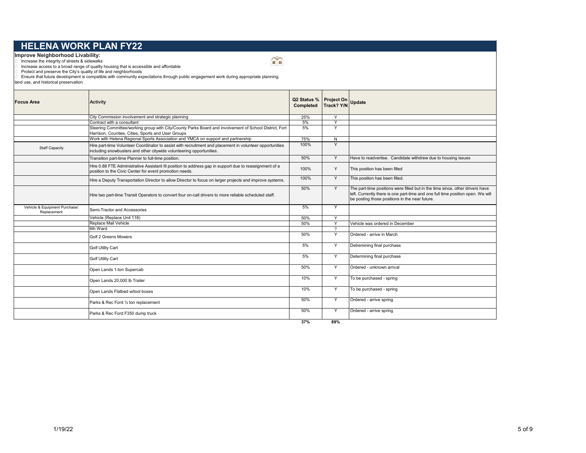**Improve Neighborhood Livability:**<br>□ Increase the integrity of streets & sidewalks

□ Increase access to a broad range of quality housing that is accessible and affordable<br>□ Protect and preserve the City's quality of life and neighborhoods<br>□ Ensure that future development is compatible with community exp

land use, and historical preservation

| <b>Focus Area</b>                            | <b>Activity</b>                                                                                                                                                                  | Q2 Status % Project On<br>Completed Track? Y/N |                          | <b>Update</b>                                                                                                                                                                                                      |
|----------------------------------------------|----------------------------------------------------------------------------------------------------------------------------------------------------------------------------------|------------------------------------------------|--------------------------|--------------------------------------------------------------------------------------------------------------------------------------------------------------------------------------------------------------------|
|                                              | City Commission involvement and strategic planning                                                                                                                               | 25%                                            | Y                        |                                                                                                                                                                                                                    |
|                                              | Contract with a consultant                                                                                                                                                       | 5%                                             | Y                        |                                                                                                                                                                                                                    |
|                                              | Steering Committee/working group with City/County Parks Board and involvement of School District, Fort<br>Harrison, Counties, Cities, Sports and User Groups                     | 5%                                             | Y                        |                                                                                                                                                                                                                    |
|                                              | Work with Helena Regional Sports Association and YMCA on support and partnership                                                                                                 | 75%                                            | N                        |                                                                                                                                                                                                                    |
| <b>Staff Capacity</b>                        | Hire part-time Volunteer Coordinator to assist with recruitment and placement in volunteer opportunities<br>including snowbusters and other citywide volunteering opportunities. | 100%                                           | Y                        |                                                                                                                                                                                                                    |
|                                              | Transition part-time Planner to full-time position.                                                                                                                              | 50%                                            | Y                        | Have to readvertise. Candidate withdrew due to housing issues                                                                                                                                                      |
|                                              | Hire 0.88 FTE Administrative Assistant III position to address gap in support due to reassignment of a<br>position to the Civic Center for event promotion needs.                | 100%                                           | Y                        | This position has been filled                                                                                                                                                                                      |
|                                              | Hire a Deputy Transportation Director to allow Director to focus on larger projects and improve systems.                                                                         | 100%                                           | Y                        | This position has been filled.                                                                                                                                                                                     |
|                                              | Hire two part-time Transit Operators to convert four on-call drivers to more reliable scheduled staff.                                                                           | 50%                                            | Y                        | The part-time positions were filled but in the time since, other drivers have<br>left. Currently there is one part-time and one full time position open. We will<br>be posting those positions in the near future. |
| Vehicle & Equipment Purchase/<br>Replacement | Semi-Tractor and Accessories                                                                                                                                                     | 5%                                             | Y                        |                                                                                                                                                                                                                    |
|                                              | Vehicle (Replace Unit 118)                                                                                                                                                       | 50%                                            | Y                        |                                                                                                                                                                                                                    |
|                                              | Replace Mail Vehicle                                                                                                                                                             | 50%                                            | Y                        | Vehicle was ordered in December                                                                                                                                                                                    |
|                                              | 6th Ward                                                                                                                                                                         |                                                | $\overline{\phantom{0}}$ |                                                                                                                                                                                                                    |
|                                              | Golf 2 Greens Mowers                                                                                                                                                             | 50%                                            | Y                        | Ordered - arrive in March                                                                                                                                                                                          |
|                                              | <b>Golf Utility Cart</b>                                                                                                                                                         | 5%                                             | Y                        | Detremining final purchase                                                                                                                                                                                         |
|                                              | <b>Golf Utility Cart</b>                                                                                                                                                         | 5%                                             | Y                        | Determining final purchase                                                                                                                                                                                         |
|                                              | Open Lands 1-ton Supercab                                                                                                                                                        | 50%                                            | Y                        | Ordered - unknown arrival                                                                                                                                                                                          |
|                                              | Open Lands 20,000 lb Trailer                                                                                                                                                     | 10%                                            | Y                        | To be purchased - spring                                                                                                                                                                                           |
|                                              | Open Lands Flatbed w/tool boxes                                                                                                                                                  | 10%                                            | Y                        | To be purchased - spring                                                                                                                                                                                           |
|                                              | Parks & Rec Ford 1/2 ton replacement                                                                                                                                             | 50%                                            | Y                        | Ordered - arrive spring                                                                                                                                                                                            |
|                                              | Parks & Rec Ford F350 dump truck                                                                                                                                                 | 50%                                            | Y                        | Ordered - arrive spring                                                                                                                                                                                            |
|                                              |                                                                                                                                                                                  | 37%                                            | 89%                      |                                                                                                                                                                                                                    |

 $\mathbb{C}$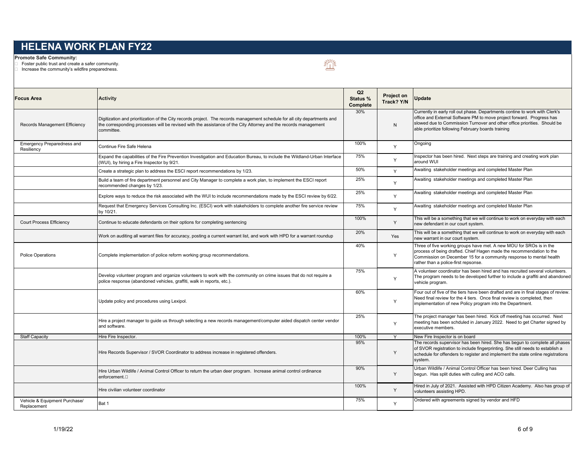#### **Promote Safe Community:**

□ Foster public trust and create a safer community.

 $\Box$  Increase the community's wildfire preparedness.

逧

| <b>Focus Area</b>                               | <b>Activity</b>                                                                                                                                                                                                                                            | Q2<br>Status %<br>Complete | <b>Project on</b><br>Track? Y/N | <b>Update</b>                                                                                                                                                                                                                                                                          |
|-------------------------------------------------|------------------------------------------------------------------------------------------------------------------------------------------------------------------------------------------------------------------------------------------------------------|----------------------------|---------------------------------|----------------------------------------------------------------------------------------------------------------------------------------------------------------------------------------------------------------------------------------------------------------------------------------|
| Records Management Efficiency                   | Digitization and prioritization of the City records project. The records management schedule for all city departments and<br>the corresponding processes will be revised with the assistance of the City Attorney and the records management<br>committee. | 30%                        | N                               | Currently in early roll out phase. Departments contine to work with Clerk's<br>office and External Software PM to move project forward. Progress has<br>slowed due to Commission Turnover and other office priorities. Should be<br>able prioritize following February boards training |
| <b>Emergency Preparedness and</b><br>Resiliency | Continue Fire Safe Helena                                                                                                                                                                                                                                  | 100%                       | Y                               | Ongoing                                                                                                                                                                                                                                                                                |
|                                                 | Expand the capabilities of the Fire Prevention Investigation and Education Bureau, to include the Wildland-Urban Interface<br>WUI), by hiring a Fire Inspector by 9/21.                                                                                    | 75%                        | Y                               | Inspector has been hired. Next steps are training and creating work plan<br>around WUI                                                                                                                                                                                                 |
|                                                 | Create a strategic plan to address the ESCI report recommendations by 1/23.                                                                                                                                                                                | 50%                        | Y                               | Awaiting stakeholder meetings and completed Master Plan                                                                                                                                                                                                                                |
|                                                 | Build a team of fire department personnel and City Manager to complete a work plan, to implement the ESCI report<br>ecommended changes by 1/23.                                                                                                            | 25%                        | Y                               | Awaiting stakeholder meetings and completed Master Plan                                                                                                                                                                                                                                |
|                                                 | Explore ways to reduce the risk associated with the WUI to include recommendations made by the ESCI review by 6/22.                                                                                                                                        | 25%                        | Y                               | Awaiting stakeholder meetings and completed Master Plan                                                                                                                                                                                                                                |
|                                                 | Request that Emergency Services Consulting Inc. (ESCI) work with stakeholders to complete another fire service review<br>by 10/21.                                                                                                                         | 75%                        | Y                               | Awaiting stakeholder meetings and completed Master Plan                                                                                                                                                                                                                                |
| <b>Court Process Efficiency</b>                 | Continue to educate defendants on their options for completing sentencing                                                                                                                                                                                  | 100%                       | Y                               | This will be a something that we will continue to work on everyday with each<br>new defendant in our court system.                                                                                                                                                                     |
|                                                 | Work on auditing all warrant files for accuracy, posting a current warrant list, and work with HPD for a warrant roundup                                                                                                                                   | 20%                        | Yes                             | This will be a something that we will continue to work on everyday with each<br>new warrant in our court system.                                                                                                                                                                       |
| <b>Police Operations</b>                        | Complete implementation of police reform working group recommendations.                                                                                                                                                                                    | 40%                        | Y                               | Three of five working groups have met. A new MOU for SROs is in the<br>process of being drafted. Chief Hagen made the recommendation to the<br>Commission on December 15 for a community response to mental health<br>rather than a police-first repsonse.                             |
|                                                 | Develop volunteer program and organize volunteers to work with the community on crime issues that do not require a<br>police response (abandoned vehicles, graffiti, walk in reports, etc.).                                                               | 75%                        | Y                               | A volunteer coordinator has been hired and has recruited several volunteers.<br>The program needs to be developed further to include a graffiti and abandoned<br>vehicle program.                                                                                                      |
|                                                 | Update policy and procedures using Lexipol.                                                                                                                                                                                                                | 60%                        | Y                               | Four out of five of the tiers have been drafted and are in final stages of review.<br>Need final review for the 4 tiers. Once final review is completed, then<br>implementation of new Policy program into the Department.                                                             |
|                                                 | Hire a project manager to guide us through selecting a new records management/computer aided dispatch center vendor<br>and software.                                                                                                                       | 25%                        | Y                               | The project manager has been hired. Kick off meeting has occurred. Next<br>meeting has been schduled in January 2022. Need to get Charter signed by<br>executive members.                                                                                                              |
| <b>Staff Capacity</b>                           | Hire Fire Inspector.                                                                                                                                                                                                                                       | 100%                       | Y                               | New Fire Inspector is on board                                                                                                                                                                                                                                                         |
|                                                 | Hire Records Supervisor / SVOR Coordinator to address increase in registered offenders.                                                                                                                                                                    | 95%                        | Y                               | The records supervisor has been hired. She has begun to complete all phases<br>of SVOR registration to include fingerprinting. She still needs to establish a<br>schedule for offenders to register and implement the state online registrations<br>system.                            |
|                                                 | Hire Urban Wildlife / Animal Control Officer to return the urban deer program. Increase animal control ordinance<br>enforcement.□                                                                                                                          | 90%                        | Y                               | Urban Wildlife / Animal Control Officer has been hired. Deer Culling has<br>begun. Has split duties with culling and ACO calls.                                                                                                                                                        |
|                                                 | Hire civilian volunteer coordinator                                                                                                                                                                                                                        | 100%                       | Y                               | Hired in July of 2021. Assisted with HPD Citizen Academy. Also has group of<br>volunteers assisting HPD.                                                                                                                                                                               |
| Vehicle & Equipment Purchase/<br>Replacement    | Bat 1                                                                                                                                                                                                                                                      | 75%                        | Y                               | Ordered with agreements signed by vendor and HFD                                                                                                                                                                                                                                       |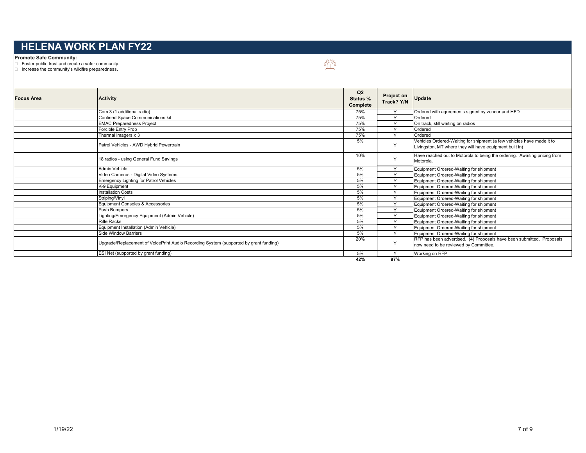#### **Promote Safe Community:**

Foster public trust and create a safer community.

Increase the community's wildfire preparedness.

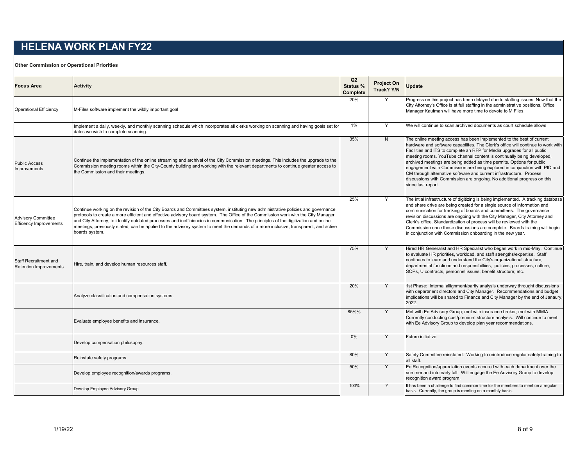**Other Commission or Operational Priorities**

| <b>Focus Area</b>                                          | <b>Activity</b>                                                                                                                                                                                                                                                                                                                                                                                                                                                                                                                                                         | Q <sub>2</sub><br>Status %<br>Complete | <b>Project On</b><br>Track? Y/N | Update                                                                                                                                                                                                                                                                                                                                                                                                                                                                                                                                                                                                                                       |
|------------------------------------------------------------|-------------------------------------------------------------------------------------------------------------------------------------------------------------------------------------------------------------------------------------------------------------------------------------------------------------------------------------------------------------------------------------------------------------------------------------------------------------------------------------------------------------------------------------------------------------------------|----------------------------------------|---------------------------------|----------------------------------------------------------------------------------------------------------------------------------------------------------------------------------------------------------------------------------------------------------------------------------------------------------------------------------------------------------------------------------------------------------------------------------------------------------------------------------------------------------------------------------------------------------------------------------------------------------------------------------------------|
| <b>Operational Efficiency</b>                              | M-Files software implement the wildly important goal                                                                                                                                                                                                                                                                                                                                                                                                                                                                                                                    | 20%                                    | Y                               | Progress on this project has been delayed due to staffing issues. Now that the<br>City Attorney's Office is at full staffing in the administrative positions, Office<br>Manager Kaufman will have more time to devote to M Files.                                                                                                                                                                                                                                                                                                                                                                                                            |
|                                                            | mplement a daily, weekly, and monthly scanning schedule which incorporates all clerks working on scanning and having goals set for<br>dates we wish to complete scanning.                                                                                                                                                                                                                                                                                                                                                                                               | 1%                                     | Y                               | We will continue to scan archived documents as court schedule allows                                                                                                                                                                                                                                                                                                                                                                                                                                                                                                                                                                         |
| <b>Public Access</b><br><b>Improvements</b>                | Continue the implementation of the online streaming and archival of the City Commission meetings. This includes the upgrade to the<br>Commission meeting rooms within the City-County building and working with the relevant departments to continue greater access to<br>the Commission and their meetings.                                                                                                                                                                                                                                                            | 35%                                    | N                               | The online meeting access has been implemented to the best of current<br>hardware and software capabilites. The Clerk's office will continue to work with<br>Facilities and ITS to complete an RFP for Media upgrades for all public<br>meeting rooms. YouTube channel content is continually being developed,<br>archived meetings are being added as time permits. Options for public<br>engagement with Commission are being explored in conjunction with PIO and<br>CM through alternative software and current infrastructure. Process<br>discussions with Commission are ongoing. No additional progress on this<br>since last report. |
| <b>Advisory Committee</b><br><b>Efficency Improvements</b> | Continue working on the revision of the City Boards and Committees system, instituting new administrative policies and governance<br>protocols to create a more efficient and effective advisory board system. The Office of the Commission work with the City Manager<br>and City Attorney, to identify outdated processes and inefficiencies in communication. The principles of the digitization and online<br>meetings, previously stated, can be applied to the advisory system to meet the demands of a more inclusive, transparent, and active<br>boards system. | 25%                                    | Y                               | The intial infrastructure of digitizing is being implemented. A tracking database<br>and share drive are being created for a single source of information and<br>communication for tracking of boards and committees. The governance<br>revision discussions are ongoing with the City Manager, City Attorney and<br>Clerk's office. Standardization of process will be reviewed with the<br>Commission once those discussions are complete. Boards training will begin<br>in conjunction with Commission onboarding in the new year.                                                                                                        |
| Staff Recruitment and<br>Retention Improvements            | Hire, train, and develop human resources staff.                                                                                                                                                                                                                                                                                                                                                                                                                                                                                                                         | 75%                                    | Y                               | Hired HR Generalist and HR Specialist who began work in mid-May. Continue<br>to evaluate HR priorities, workload, and staff strengths/expertise. Staff<br>continues to learn and understand the City's organizational structure,<br>departmental functions and responsibiltiies, policies, processes, culture,<br>SOPs, U contracts, personnel issues; benefit structure; etc.                                                                                                                                                                                                                                                               |
|                                                            | Analyze classification and compensation systems.                                                                                                                                                                                                                                                                                                                                                                                                                                                                                                                        | 20%                                    | Y                               | 1st Phase: Internal allignment/parity analysis underway throught discussions<br>with department directors and City Manager. Recommendations and budget<br>implications will be shared to Finance and City Manager by the end of Janaury,<br>2022.                                                                                                                                                                                                                                                                                                                                                                                            |
|                                                            | Evaluate employee benefits and insurance.                                                                                                                                                                                                                                                                                                                                                                                                                                                                                                                               | 85%%                                   | Y                               | Met with Ee Advisory Group; met with insurance broker; met with MMIA.<br>Currently conducting cost/premium structure analysis. Will continue to meet<br>with Ee Advisory Group to develop plan year recommendations.                                                                                                                                                                                                                                                                                                                                                                                                                         |
|                                                            | Develop compensation philosophy.                                                                                                                                                                                                                                                                                                                                                                                                                                                                                                                                        | 0%                                     | Y                               | Future initiative.                                                                                                                                                                                                                                                                                                                                                                                                                                                                                                                                                                                                                           |
|                                                            | Reinstate safety programs.                                                                                                                                                                                                                                                                                                                                                                                                                                                                                                                                              | 80%                                    | Υ                               | Safety Committee reinstated. Working to reintroduce regular safety training to<br>all staff.                                                                                                                                                                                                                                                                                                                                                                                                                                                                                                                                                 |
|                                                            | Develop employee recognition/awards programs.                                                                                                                                                                                                                                                                                                                                                                                                                                                                                                                           | 50%                                    | Y                               | Ee Recognition/appreciation events occured with each department over the<br>summer and into early fall. Will engage the Ee Advisory Group to develop<br>recognition award program.                                                                                                                                                                                                                                                                                                                                                                                                                                                           |
|                                                            | Develop Employee Advisory Group                                                                                                                                                                                                                                                                                                                                                                                                                                                                                                                                         | 100%                                   | Y                               | It has been a challenge to find common time for the members to meet on a regular<br>basis. Currently, the group is meeting on a monthly basis.                                                                                                                                                                                                                                                                                                                                                                                                                                                                                               |